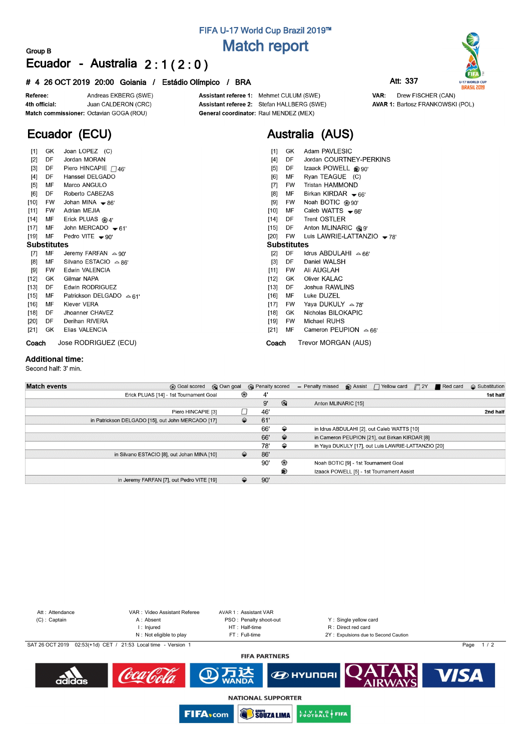# **FIFA U-17 World Cup Brazil 2019™ Match report**

## **Group B Ecuador - Australia 2 : 1 ( 2 : 0 )**

### **# 4 26 OCT 2019 20:00 Goiania / Estádio Olímpico / BRA Att: 337**



Drew FISCHER (CAN)

**AVAR 1: Bartosz FRANKOWSKI (POL)** 

VAR:



Andreas EKBERG (SWE) Referee: Juan CALDERON (CRC) 4th official: Match commissioner: Octavian GOGA (ROU)

**Ecuador (ECU)**

Assistant referee 1: Mehmet CULUM (SWE) Assistant referee 2: Stefan HALLBERG (SWE) General coordinator: Raul MENDEZ (MEX)

# **Australia (AUS)**

| $[1]$              | GK        | Joan LOPEZ (C)                  | Adam PAVLESIC<br>[1]<br>GK.                      |  |  |  |  |  |  |  |
|--------------------|-----------|---------------------------------|--------------------------------------------------|--|--|--|--|--|--|--|
| $[2]$              | DF        | Jordan MORAN                    | Jordan COURTNEY-PERKINS<br>$[4]$<br>DF           |  |  |  |  |  |  |  |
| $[3]$              | DF        | Piero HINCAPIE $\Box$ 46'       | Izaack POWELL @ 90'<br>$[5]$<br>DF               |  |  |  |  |  |  |  |
| $[4]$              | DF        | Hanssel DELGADO                 | Ryan TEAGUE (C)<br>[6]<br>MF                     |  |  |  |  |  |  |  |
| [5]                | MF        | Marco ANGULO                    | Tristan HAMMOND<br>$[7]$<br>FW                   |  |  |  |  |  |  |  |
| [6]                | DF        | Roberto CABEZAS                 | Birkan KIRDAR $\bullet$ 66'<br>[8]<br>МF         |  |  |  |  |  |  |  |
| $[10]$             | <b>FW</b> | Johan MINA $\bullet$ 86'        | Noah BOTIC @ 90'<br>[9]<br>FW                    |  |  |  |  |  |  |  |
| $[11]$             | FW        | Adrian MEJIA                    | $[10]$<br>Caleb WATTS $-66'$<br>MF               |  |  |  |  |  |  |  |
| $[14]$             | MF        | Erick PLUAS @4'                 | <b>Trent OSTLER</b><br>$[14]$<br>DF              |  |  |  |  |  |  |  |
| $[17]$             | MF        | John MERCADO $-61'$             | Anton MLINARIC @ 9'<br>$[15]$<br>DF              |  |  |  |  |  |  |  |
| $[19]$             | MF        | Pedro VITE $\rightarrow$ 90'    | $[20]$<br>Luis LAWRIE-LATTANZIO $-78'$<br>FW     |  |  |  |  |  |  |  |
| <b>Substitutes</b> |           |                                 | <b>Substitutes</b>                               |  |  |  |  |  |  |  |
| $[7]$              | ΜF        | Jeremy FARFAN $\approx$ 90'     | DF<br>Idrus ABDULAHI $\approx 66'$<br>[2]        |  |  |  |  |  |  |  |
| [8]                | МF        | Silvano ESTACIO $\triangle$ 86' | Daniel WALSH<br>$[3]$<br>DF                      |  |  |  |  |  |  |  |
| [9]                | <b>FW</b> | Edwin VALENCIA                  | Ali AUGLAH<br>[11]<br><b>FW</b>                  |  |  |  |  |  |  |  |
| $[12]$             | GK        | Gilmar NAPA                     | <b>Oliver KALAC</b><br>$[12]$<br>GK              |  |  |  |  |  |  |  |
| $[13]$             | DF        | Edwin RODRIGUEZ                 | Joshua RAWLINS<br>$[13]$<br>DF                   |  |  |  |  |  |  |  |
| $[15]$             | ΜF        | Patrickson DELGADO $\leq 61'$   | Luke DUZEL<br>$[16]$<br>МF                       |  |  |  |  |  |  |  |
| $[16]$             | MF        | <b>Klever VERA</b>              | Yaya DUKULY $\approx$ 78'<br>$[17]$<br><b>FW</b> |  |  |  |  |  |  |  |
| $[18]$             | DF        | Jhoanner CHAVEZ                 | Nicholas BILOKAPIC<br>[18]<br>GK                 |  |  |  |  |  |  |  |
| [20]               | DF        | Derihan RIVERA                  | Michael RUHS<br>[19]<br>FW                       |  |  |  |  |  |  |  |
| $[21]$<br>GK       |           | Elias VALENCIA                  | Cameron PEUPION $\triangle$ 66'<br>$[21]$<br>MF  |  |  |  |  |  |  |  |
| Coach              |           | Jose RODRIGUEZ (ECU)            | Trevor MORGAN (AUS)<br>Coach                     |  |  |  |  |  |  |  |

#### **Additional time:** Second half: 3' min.

| <b>Match events</b> | © Own goal<br><b>B</b> Goal scored                |   | <b>B</b> Penalty scored |               | - Penalty missed                            | <b>B</b> Assist | ◯ Yellow card                                       | $\Box$ 2Y | Red card | $\triangle$ Substitution |
|---------------------|---------------------------------------------------|---|-------------------------|---------------|---------------------------------------------|-----------------|-----------------------------------------------------|-----------|----------|--------------------------|
|                     | Erick PLUAS [14] - 1st Tournament Goal            | ⊛ | 4                       |               |                                             |                 |                                                     |           |          | 1st half                 |
|                     |                                                   |   | 9'                      | $^{\circ}$    | Anton MLINARIC [15]                         |                 |                                                     |           |          |                          |
|                     | Piero HINCAPIE [3]                                |   | 46'                     |               |                                             |                 |                                                     |           |          | 2nd half                 |
|                     | in Patrickson DELGADO [15], out John MERCADO [17] | ⇔ | 61                      |               |                                             |                 |                                                     |           |          |                          |
|                     |                                                   |   | 66'                     | ⇔             | in Idrus ABDULAHI [2], out Caleb WATTS [10] |                 |                                                     |           |          |                          |
|                     |                                                   |   | 66'                     | $\Rightarrow$ |                                             |                 | in Cameron PEUPION [21], out Birkan KIRDAR [8]      |           |          |                          |
|                     |                                                   |   | 78'                     | ⇔             |                                             |                 | in Yaya DUKULY [17], out Luis LAWRIE-LATTANZIO [20] |           |          |                          |
|                     | in Silvano ESTACIO [8], out Johan MINA [10]       | ≙ | 86'                     |               |                                             |                 |                                                     |           |          |                          |
|                     |                                                   |   | 90'                     | ⊛             |                                             |                 | Noah BOTIC [9] - 1st Tournament Goal                |           |          |                          |
|                     |                                                   |   |                         | ⊛             |                                             |                 | Izaack POWELL [5] - 1st Tournament Assist           |           |          |                          |
|                     | in Jeremy FARFAN [7], out Pedro VITE [19]         |   | 90'                     |               |                                             |                 |                                                     |           |          |                          |